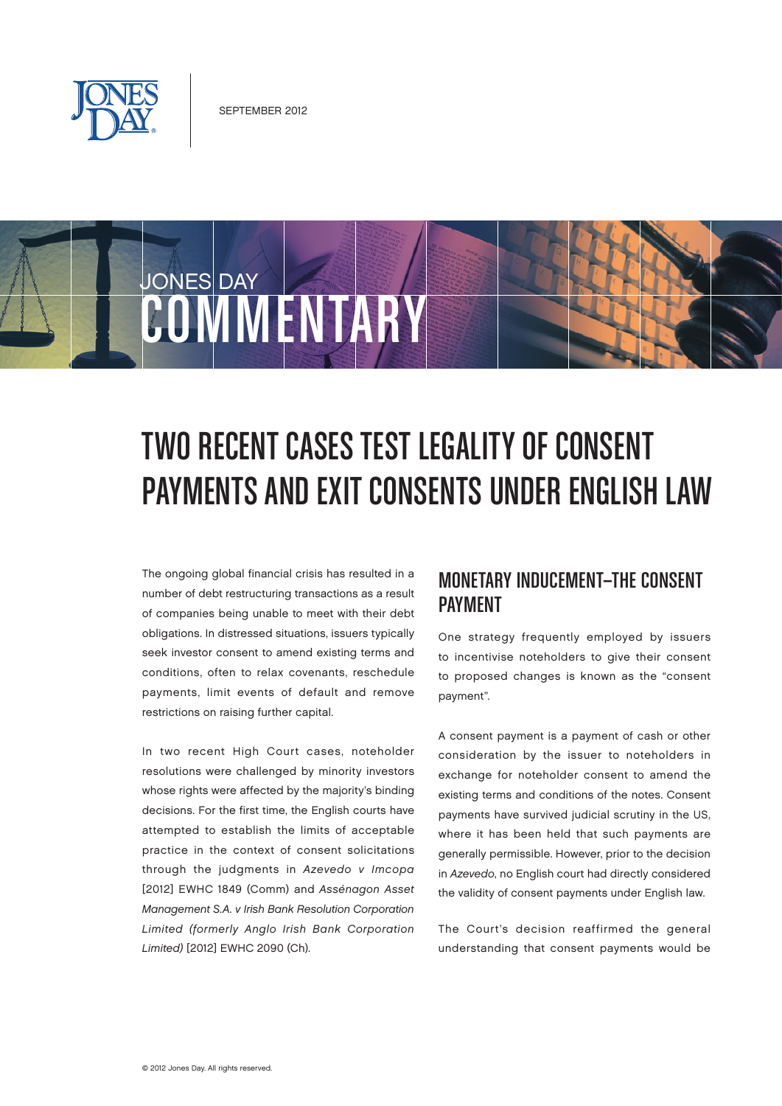

# JONES DAY COMMENTARY

## Two Recent Cases Test Legality of Consent PAYMENTS AND EXIT CONSENTS UNDER ENGLISH LAW

The ongoing global financial crisis has resulted in a number of debt restructuring transactions as a result of companies being unable to meet with their debt obligations. In distressed situations, issuers typically seek investor consent to amend existing terms and conditions, often to relax covenants, reschedule payments, limit events of default and remove restrictions on raising further capital.

In two recent High Court cases, noteholder resolutions were challenged by minority investors whose rights were affected by the majority's binding decisions. For the first time, the English courts have attempted to establish the limits of acceptable practice in the context of consent solicitations through the judgments in Azevedo v Imcopa [2012] EWHC 1849 (Comm) and Assénagon Asset Management S.A. v Irish Bank Resolution Corporation Limited (formerly Anglo Irish Bank Corporation Limited) [2012] EWHC 2090 (Ch).

## Monetary Inducement—The Consent **PAYMENT**

One strategy frequently employed by issuers to incentivise noteholders to give their consent to proposed changes is known as the "consent payment".

A consent payment is a payment of cash or other consideration by the issuer to noteholders in exchange for noteholder consent to amend the existing terms and conditions of the notes. Consent payments have survived judicial scrutiny in the US, where it has been held that such payments are generally permissible. However, prior to the decision in Azevedo, no English court had directly considered the validity of consent payments under English law.

The Court's decision reaffirmed the general understanding that consent payments would be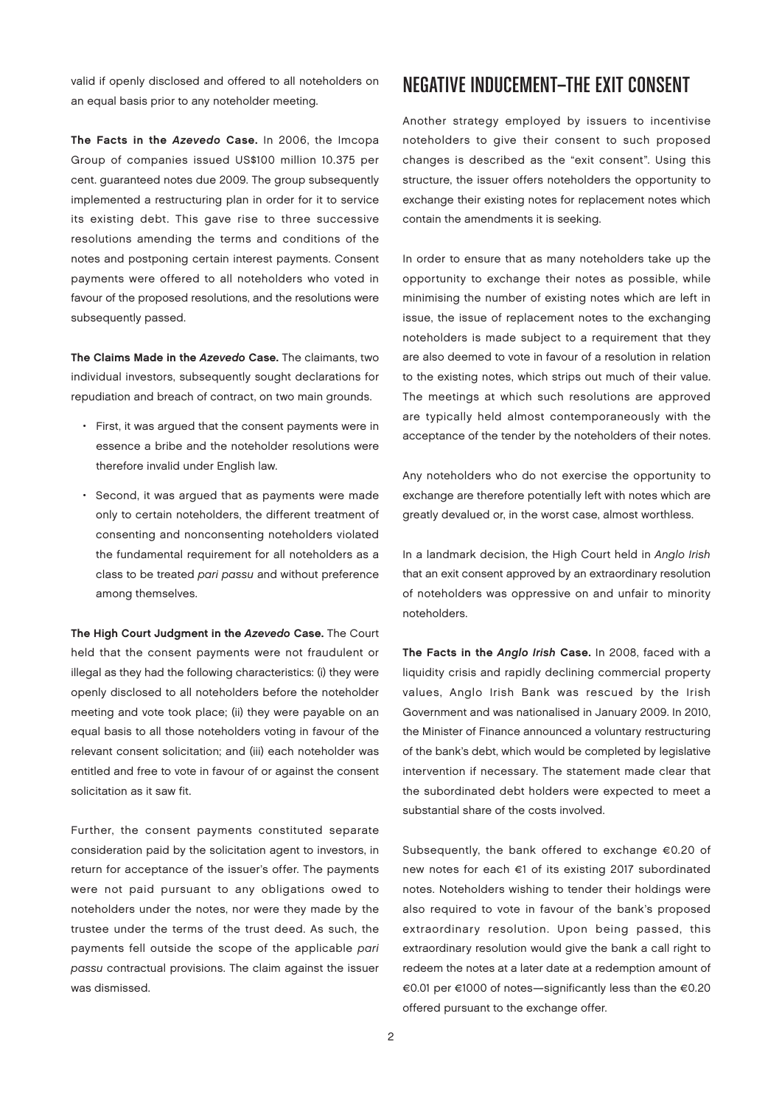valid if openly disclosed and offered to all noteholders on an equal basis prior to any noteholder meeting.

The Facts in the Azevedo Case. In 2006, the Imcopa Group of companies issued US\$100 million 10.375 per cent. guaranteed notes due 2009. The group subsequently implemented a restructuring plan in order for it to service its existing debt. This gave rise to three successive resolutions amending the terms and conditions of the notes and postponing certain interest payments. Consent payments were offered to all noteholders who voted in favour of the proposed resolutions, and the resolutions were subsequently passed.

The Claims Made in the Azevedo Case. The claimants, two individual investors, subsequently sought declarations for repudiation and breach of contract, on two main grounds.

- First, it was argued that the consent payments were in essence a bribe and the noteholder resolutions were therefore invalid under English law.
- Second, it was argued that as payments were made only to certain noteholders, the different treatment of consenting and nonconsenting noteholders violated the fundamental requirement for all noteholders as a class to be treated pari passu and without preference among themselves.

The High Court Judgment in the Azevedo Case. The Court held that the consent payments were not fraudulent or illegal as they had the following characteristics: (i) they were openly disclosed to all noteholders before the noteholder meeting and vote took place; (ii) they were payable on an equal basis to all those noteholders voting in favour of the relevant consent solicitation; and (iii) each noteholder was entitled and free to vote in favour of or against the consent solicitation as it saw fit.

Further, the consent payments constituted separate consideration paid by the solicitation agent to investors, in return for acceptance of the issuer's offer. The payments were not paid pursuant to any obligations owed to noteholders under the notes, nor were they made by the trustee under the terms of the trust deed. As such, the payments fell outside the scope of the applicable pari passu contractual provisions. The claim against the issuer was dismissed.

## Negative Inducement—The Exit Consent

Another strategy employed by issuers to incentivise noteholders to give their consent to such proposed changes is described as the "exit consent". Using this structure, the issuer offers noteholders the opportunity to exchange their existing notes for replacement notes which contain the amendments it is seeking.

In order to ensure that as many noteholders take up the opportunity to exchange their notes as possible, while minimising the number of existing notes which are left in issue, the issue of replacement notes to the exchanging noteholders is made subject to a requirement that they are also deemed to vote in favour of a resolution in relation to the existing notes, which strips out much of their value. The meetings at which such resolutions are approved are typically held almost contemporaneously with the acceptance of the tender by the noteholders of their notes.

Any noteholders who do not exercise the opportunity to exchange are therefore potentially left with notes which are greatly devalued or, in the worst case, almost worthless.

In a landmark decision, the High Court held in Anglo Irish that an exit consent approved by an extraordinary resolution of noteholders was oppressive on and unfair to minority noteholders.

The Facts in the Anglo Irish Case. In 2008, faced with a liquidity crisis and rapidly declining commercial property values, Anglo Irish Bank was rescued by the Irish Government and was nationalised in January 2009. In 2010, the Minister of Finance announced a voluntary restructuring of the bank's debt, which would be completed by legislative intervention if necessary. The statement made clear that the subordinated debt holders were expected to meet a substantial share of the costs involved.

Subsequently, the bank offered to exchange €0.20 of new notes for each €1 of its existing 2017 subordinated notes. Noteholders wishing to tender their holdings were also required to vote in favour of the bank's proposed extraordinary resolution. Upon being passed, this extraordinary resolution would give the bank a call right to redeem the notes at a later date at a redemption amount of €0.01 per €1000 of notes—significantly less than the €0.20 offered pursuant to the exchange offer.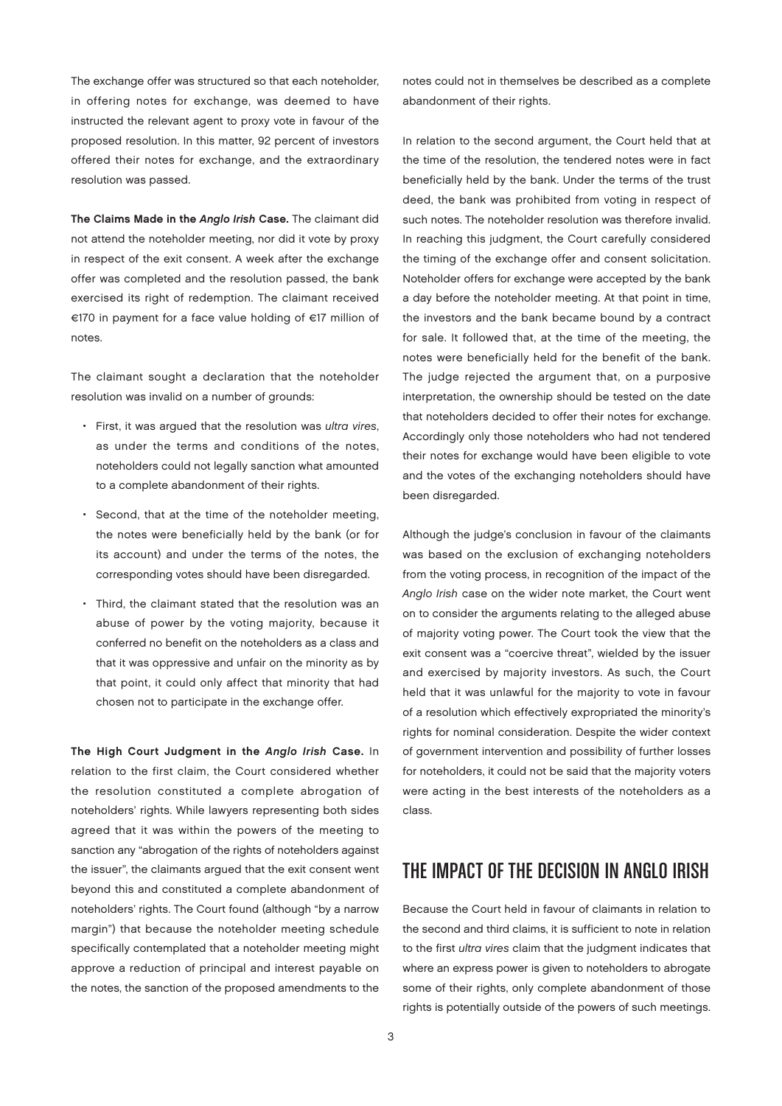The exchange offer was structured so that each noteholder, in offering notes for exchange, was deemed to have instructed the relevant agent to proxy vote in favour of the proposed resolution. In this matter, 92 percent of investors offered their notes for exchange, and the extraordinary resolution was passed.

The Claims Made in the Anglo Irish Case. The claimant did not attend the noteholder meeting, nor did it vote by proxy in respect of the exit consent. A week after the exchange offer was completed and the resolution passed, the bank exercised its right of redemption. The claimant received €170 in payment for a face value holding of €17 million of notes.

The claimant sought a declaration that the noteholder resolution was invalid on a number of grounds:

- First, it was argued that the resolution was ultra vires, as under the terms and conditions of the notes, noteholders could not legally sanction what amounted to a complete abandonment of their rights.
- Second, that at the time of the noteholder meeting, the notes were beneficially held by the bank (or for its account) and under the terms of the notes, the corresponding votes should have been disregarded.
- Third, the claimant stated that the resolution was an abuse of power by the voting majority, because it conferred no benefit on the noteholders as a class and that it was oppressive and unfair on the minority as by that point, it could only affect that minority that had chosen not to participate in the exchange offer.

The High Court Judgment in the Anglo Irish Case. In relation to the first claim, the Court considered whether the resolution constituted a complete abrogation of noteholders' rights. While lawyers representing both sides agreed that it was within the powers of the meeting to sanction any "abrogation of the rights of noteholders against the issuer", the claimants argued that the exit consent went beyond this and constituted a complete abandonment of noteholders' rights. The Court found (although "by a narrow margin") that because the noteholder meeting schedule specifically contemplated that a noteholder meeting might approve a reduction of principal and interest payable on the notes, the sanction of the proposed amendments to the

notes could not in themselves be described as a complete abandonment of their rights.

In relation to the second argument, the Court held that at the time of the resolution, the tendered notes were in fact beneficially held by the bank. Under the terms of the trust deed, the bank was prohibited from voting in respect of such notes. The noteholder resolution was therefore invalid. In reaching this judgment, the Court carefully considered the timing of the exchange offer and consent solicitation. Noteholder offers for exchange were accepted by the bank a day before the noteholder meeting. At that point in time, the investors and the bank became bound by a contract for sale. It followed that, at the time of the meeting, the notes were beneficially held for the benefit of the bank. The judge rejected the argument that, on a purposive interpretation, the ownership should be tested on the date that noteholders decided to offer their notes for exchange. Accordingly only those noteholders who had not tendered their notes for exchange would have been eligible to vote and the votes of the exchanging noteholders should have been disregarded.

Although the judge's conclusion in favour of the claimants was based on the exclusion of exchanging noteholders from the voting process, in recognition of the impact of the Anglo Irish case on the wider note market, the Court went on to consider the arguments relating to the alleged abuse of majority voting power. The Court took the view that the exit consent was a "coercive threat", wielded by the issuer and exercised by majority investors. As such, the Court held that it was unlawful for the majority to vote in favour of a resolution which effectively expropriated the minority's rights for nominal consideration. Despite the wider context of government intervention and possibility of further losses for noteholders, it could not be said that the majority voters were acting in the best interests of the noteholders as a class.

#### The Impact of the Decision in Anglo Irish

Because the Court held in favour of claimants in relation to the second and third claims, it is sufficient to note in relation to the first ultra vires claim that the judgment indicates that where an express power is given to noteholders to abrogate some of their rights, only complete abandonment of those rights is potentially outside of the powers of such meetings.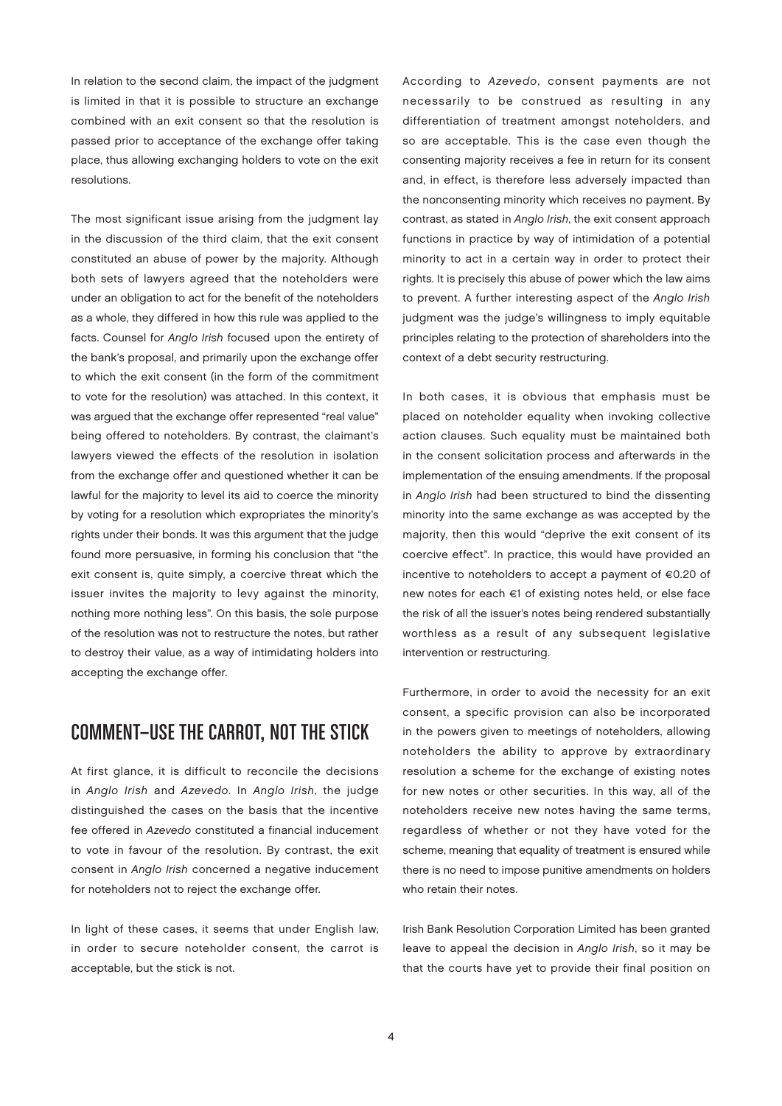In relation to the second claim, the impact of the judgment is limited in that it is possible to structure an exchange combined with an exit consent so that the resolution is passed prior to acceptance of the exchange offer taking place, thus allowing exchanging holders to vote on the exit resolutions.

The most significant issue arising from the judgment lay in the discussion of the third claim, that the exit consent constituted an abuse of power by the majority. Although both sets of lawyers agreed that the noteholders were under an obligation to act for the benefit of the noteholders as a whole, they differed in how this rule was applied to the facts. Counsel for Anglo Irish focused upon the entirety of the bank's proposal, and primarily upon the exchange offer to which the exit consent (in the form of the commitment to vote for the resolution) was attached. In this context, it was argued that the exchange offer represented "real value" being offered to noteholders. By contrast, the claimant's lawyers viewed the effects of the resolution in isolation from the exchange offer and questioned whether it can be lawful for the majority to level its aid to coerce the minority by voting for a resolution which expropriates the minority's rights under their bonds. It was this argument that the judge found more persuasive, in forming his conclusion that "the exit consent is, quite simply, a coercive threat which the issuer invites the majority to levy against the minority, nothing more nothing less". On this basis, the sole purpose of the resolution was not to restructure the notes, but rather to destroy their value, as a way of intimidating holders into accepting the exchange offer.

## Comment—Use the Carrot, Not the Stick

At first glance, it is difficult to reconcile the decisions in Anglo Irish and Azevedo. In Anglo Irish, the judge distinguished the cases on the basis that the incentive fee offered in Azevedo constituted a financial inducement to vote in favour of the resolution. By contrast, the exit consent in Anglo Irish concerned a negative inducement for noteholders not to reject the exchange offer.

In light of these cases, it seems that under English law, in order to secure noteholder consent, the carrot is acceptable, but the stick is not.

According to Azevedo, consent payments are not necessarily to be construed as resulting in any differentiation of treatment amongst noteholders, and so are acceptable. This is the case even though the consenting majority receives a fee in return for its consent and, in effect, is therefore less adversely impacted than the nonconsenting minority which receives no payment. By contrast, as stated in Anglo Irish, the exit consent approach functions in practice by way of intimidation of a potential minority to act in a certain way in order to protect their rights. It is precisely this abuse of power which the law aims to prevent. A further interesting aspect of the Anglo Irish judgment was the judge's willingness to imply equitable principles relating to the protection of shareholders into the context of a debt security restructuring.

In both cases, it is obvious that emphasis must be placed on noteholder equality when invoking collective action clauses. Such equality must be maintained both in the consent solicitation process and afterwards in the implementation of the ensuing amendments. If the proposal in Anglo Irish had been structured to bind the dissenting minority into the same exchange as was accepted by the majority, then this would "deprive the exit consent of its coercive effect". In practice, this would have provided an incentive to noteholders to accept a payment of €0.20 of new notes for each €1 of existing notes held, or else face the risk of all the issuer's notes being rendered substantially worthless as a result of any subsequent legislative intervention or restructuring.

Furthermore, in order to avoid the necessity for an exit consent, a specific provision can also be incorporated in the powers given to meetings of noteholders, allowing noteholders the ability to approve by extraordinary resolution a scheme for the exchange of existing notes for new notes or other securities. In this way, all of the noteholders receive new notes having the same terms, regardless of whether or not they have voted for the scheme, meaning that equality of treatment is ensured while there is no need to impose punitive amendments on holders who retain their notes.

Irish Bank Resolution Corporation Limited has been granted leave to appeal the decision in Anglo Irish, so it may be that the courts have yet to provide their final position on